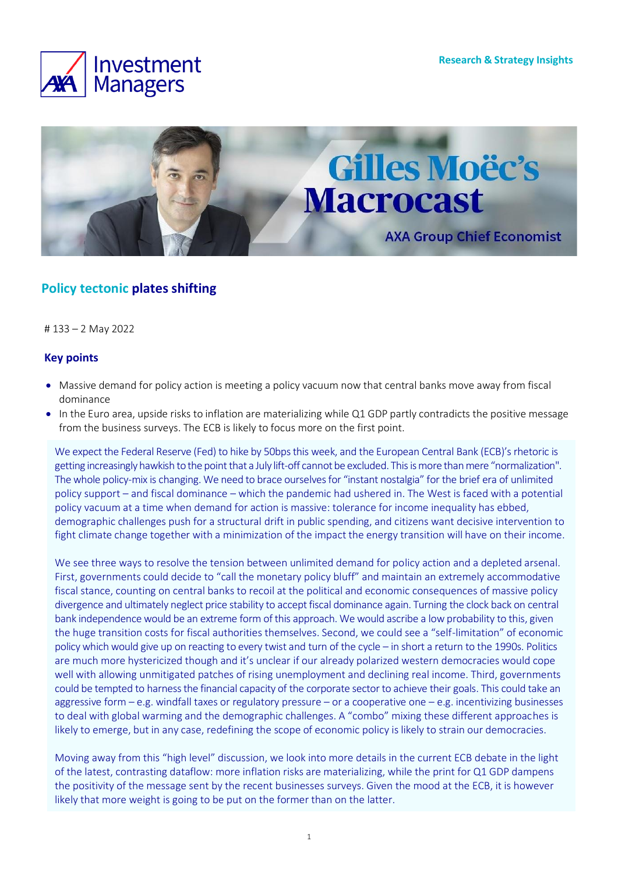



## **Policy tectonic plates shifting**

# 133 – 2 May 2022

#### **Key points**

- Massive demand for policy action is meeting a policy vacuum now that central banks move away from fiscal dominance
- In the Euro area, upside risks to inflation are materializing while Q1 GDP partly contradicts the positive message from the business surveys. The ECB is likely to focus more on the first point.

We expect the Federal Reserve (Fed) to hike by 50bps this week, and the European Central Bank (ECB)'s rhetoric is getting increasingly hawkish to the point that a July lift-off cannot be excluded. This is more than mere "normalization". The whole policy-mix is changing. We need to brace ourselves for "instant nostalgia" for the brief era of unlimited policy support – and fiscal dominance – which the pandemic had ushered in. The West is faced with a potential policy vacuum at a time when demand for action is massive: tolerance for income inequality has ebbed, demographic challenges push for a structural drift in public spending, and citizens want decisive intervention to fight climate change together with a minimization of the impact the energy transition will have on their income.

We see three ways to resolve the tension between unlimited demand for policy action and a depleted arsenal. First, governments could decide to "call the monetary policy bluff" and maintain an extremely accommodative fiscal stance, counting on central banks to recoil at the political and economic consequences of massive policy divergence and ultimately neglect price stability to accept fiscal dominance again. Turning the clock back on central bank independence would be an extreme form of this approach. We would ascribe a low probability to this, given the huge transition costs for fiscal authorities themselves. Second, we could see a "self-limitation" of economic policy which would give up on reacting to every twist and turn of the cycle – in short a return to the 1990s. Politics are much more hystericized though and it's unclear if our already polarized western democracies would cope well with allowing unmitigated patches of rising unemployment and declining real income. Third, governments could be tempted to harness the financial capacity of the corporate sector to achieve their goals. This could take an aggressive form – e.g. windfall taxes or regulatory pressure – or a cooperative one – e.g. incentivizing businesses to deal with global warming and the demographic challenges. A "combo" mixing these different approaches is likely to emerge, but in any case, redefining the scope of economic policy is likely to strain our democracies.

Moving away from this "high level" discussion, we look into more details in the current ECB debate in the light of the latest, contrasting dataflow: more inflation risks are materializing, while the print for Q1 GDP dampens the positivity of the message sent by the recent businesses surveys. Given the mood at the ECB, it is however likely that more weight is going to be put on the former than on the latter.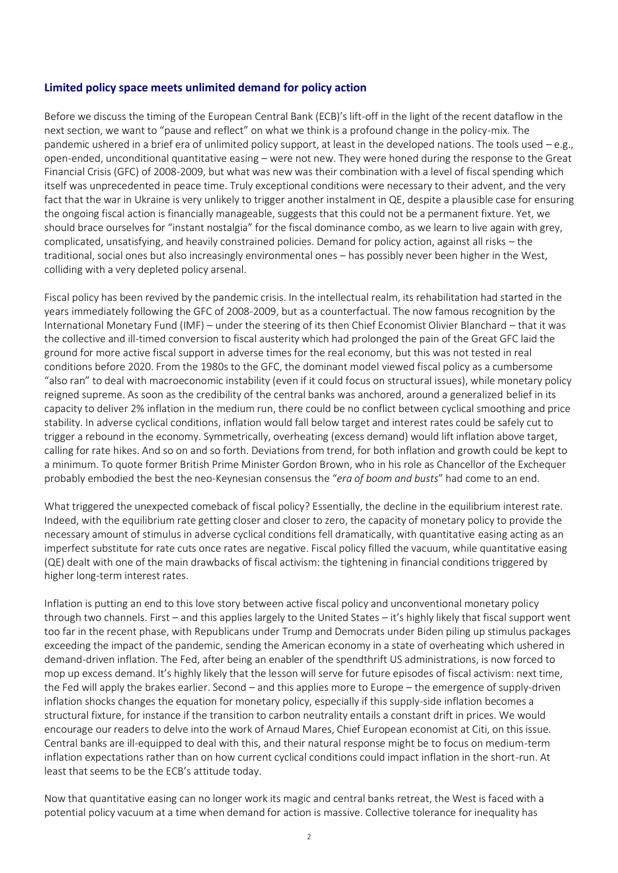#### **Limited policy space meets unlimited demand for policy action**

Before we discuss the timing of the European Central Bank (ECB)'s lift-off in the light of the recent dataflow in the next section, we want to "pause and reflect" on what we think is a profound change in the policy-mix. The pandemic ushered in a brief era of unlimited policy support, at least in the developed nations. The tools used – e.g., open-ended, unconditional quantitative easing – were not new. They were honed during the response to the Great Financial Crisis (GFC) of 2008-2009, but what was new was their combination with a level of fiscal spending which itself was unprecedented in peace time. Truly exceptional conditions were necessary to their advent, and the very fact that the war in Ukraine is very unlikely to trigger another instalment in QE, despite a plausible case for ensuring the ongoing fiscal action is financially manageable, suggests that this could not be a permanent fixture. Yet, we should brace ourselves for "instant nostalgia" for the fiscal dominance combo, as we learn to live again with grey, complicated, unsatisfying, and heavily constrained policies. Demand for policy action, against all risks – the traditional, social ones but also increasingly environmental ones – has possibly never been higher in the West, colliding with a very depleted policy arsenal.

Fiscal policy has been revived by the pandemic crisis. In the intellectual realm, its rehabilitation had started in the years immediately following the GFC of 2008-2009, but as a counterfactual. The now famous recognition by the International Monetary Fund (IMF) – under the steering of its then Chief Economist Olivier Blanchard – that it was the collective and ill-timed conversion to fiscal austerity which had prolonged the pain of the Great GFC laid the ground for more active fiscal support in adverse times for the real economy, but this was not tested in real conditions before 2020. From the 1980s to the GFC, the dominant model viewed fiscal policy as a cumbersome "also ran" to deal with macroeconomic instability (even if it could focus on structural issues), while monetary policy reigned supreme. As soon as the credibility of the central banks was anchored, around a generalized belief in its capacity to deliver 2% inflation in the medium run, there could be no conflict between cyclical smoothing and price stability. In adverse cyclical conditions, inflation would fall below target and interest rates could be safely cut to trigger a rebound in the economy. Symmetrically, overheating (excess demand) would lift inflation above target, calling for rate hikes. And so on and so forth. Deviations from trend, for both inflation and growth could be kept to a minimum. To quote former British Prime Minister Gordon Brown, who in his role as Chancellor of the Exchequer probably embodied the best the neo-Keynesian consensus the "*era of boom and busts*" had come to an end.

What triggered the unexpected comeback of fiscal policy? Essentially, the decline in the equilibrium interest rate. Indeed, with the equilibrium rate getting closer and closer to zero, the capacity of monetary policy to provide the necessary amount of stimulus in adverse cyclical conditions fell dramatically, with quantitative easing acting as an imperfect substitute for rate cuts once rates are negative. Fiscal policy filled the vacuum, while quantitative easing (QE) dealt with one of the main drawbacks of fiscal activism: the tightening in financial conditions triggered by higher long-term interest rates.

Inflation is putting an end to this love story between active fiscal policy and unconventional monetary policy through two channels. First – and this applies largely to the United States – it's highly likely that fiscal support went too far in the recent phase, with Republicans under Trump and Democrats under Biden piling up stimulus packages exceeding the impact of the pandemic, sending the American economy in a state of overheating which ushered in demand-driven inflation. The Fed, after being an enabler of the spendthrift US administrations, is now forced to mop up excess demand. It's highly likely that the lesson will serve for future episodes of fiscal activism: next time, the Fed will apply the brakes earlier. Second – and this applies more to Europe – the emergence of supply-driven inflation shocks changes the equation for monetary policy, especially if this supply-side inflation becomes a structural fixture, for instance if the transition to carbon neutrality entails a constant drift in prices. We would encourage our readers to delve into the work of Arnaud Mares, Chief European economist at Citi, on this issue. Central banks are ill-equipped to deal with this, and their natural response might be to focus on medium-term inflation expectations rather than on how current cyclical conditions could impact inflation in the short-run. At least that seems to be the ECB's attitude today.

Now that quantitative easing can no longer work its magic and central banks retreat, the West is faced with a potential policy vacuum at a time when demand for action is massive. Collective tolerance for inequality has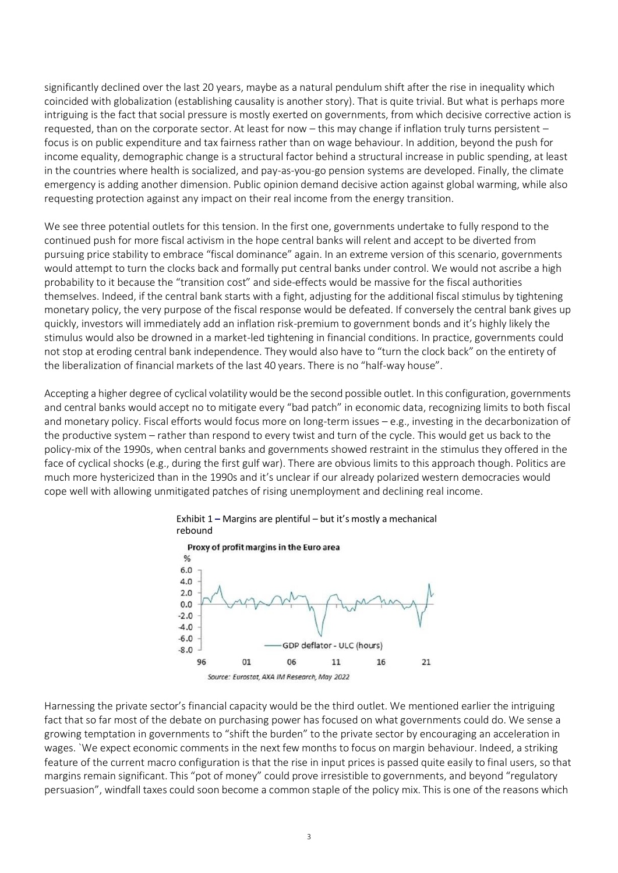significantly declined over the last 20 years, maybe as a natural pendulum shift after the rise in inequality which coincided with globalization (establishing causality is another story). That is quite trivial. But what is perhaps more intriguing is the fact that social pressure is mostly exerted on governments, from which decisive corrective action is requested, than on the corporate sector. At least for now – this may change if inflation truly turns persistent – focus is on public expenditure and tax fairness rather than on wage behaviour. In addition, beyond the push for income equality, demographic change is a structural factor behind a structural increase in public spending, at least in the countries where health is socialized, and pay-as-you-go pension systems are developed. Finally, the climate emergency is adding another dimension. Public opinion demand decisive action against global warming, while also requesting protection against any impact on their real income from the energy transition.

We see three potential outlets for this tension. In the first one, governments undertake to fully respond to the continued push for more fiscal activism in the hope central banks will relent and accept to be diverted from pursuing price stability to embrace "fiscal dominance" again. In an extreme version of this scenario, governments would attempt to turn the clocks back and formally put central banks under control. We would not ascribe a high probability to it because the "transition cost" and side-effects would be massive for the fiscal authorities themselves. Indeed, if the central bank starts with a fight, adjusting for the additional fiscal stimulus by tightening monetary policy, the very purpose of the fiscal response would be defeated. If conversely the central bank gives up quickly, investors will immediately add an inflation risk-premium to government bonds and it's highly likely the stimulus would also be drowned in a market-led tightening in financial conditions. In practice, governments could not stop at eroding central bank independence. They would also have to "turn the clock back" on the entirety of the liberalization of financial markets of the last 40 years. There is no "half-way house".

Accepting a higher degree of cyclical volatilitywould be the second possible outlet. In this configuration, governments and central banks would accept no to mitigate every "bad patch" in economic data, recognizing limits to both fiscal and monetary policy. Fiscal efforts would focus more on long-term issues – e.g., investing in the decarbonization of the productive system – rather than respond to every twist and turn of the cycle. This would get us back to the policy-mix of the 1990s, when central banks and governments showed restraint in the stimulus they offered in the face of cyclical shocks (e.g., during the first gulf war). There are obvious limits to this approach though. Politics are much more hystericized than in the 1990s and it's unclear if our already polarized western democracies would cope well with allowing unmitigated patches of rising unemployment and declining real income.



Exhibit 1 **–** Margins are plentiful – but it's mostly a mechanical rebound

Harnessing the private sector's financial capacity would be the third outlet. We mentioned earlier the intriguing fact that so far most of the debate on purchasing power has focused on what governments could do. We sense a growing temptation in governments to "shift the burden" to the private sector by encouraging an acceleration in wages. `We expect economic comments in the next few months to focus on margin behaviour. Indeed, a striking feature of the current macro configuration is that the rise in input prices is passed quite easily to final users, so that margins remain significant. This "pot of money" could prove irresistible to governments, and beyond "regulatory persuasion", windfall taxes could soon become a common staple of the policy mix. This is one of the reasons which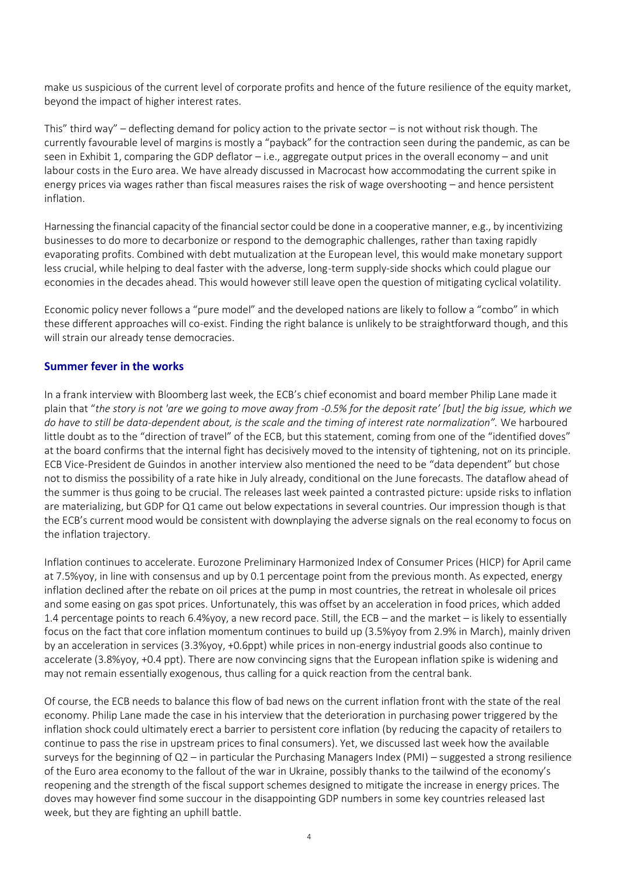make us suspicious of the current level of corporate profits and hence of the future resilience of the equity market, beyond the impact of higher interest rates.

This" third way" – deflecting demand for policy action to the private sector – is not without risk though. The currently favourable level of margins is mostly a "payback" for the contraction seen during the pandemic, as can be seen in Exhibit 1, comparing the GDP deflator – i.e., aggregate output prices in the overall economy – and unit labour costs in the Euro area. We have already discussed in Macrocast how accommodating the current spike in energy prices via wages rather than fiscal measures raises the risk of wage overshooting – and hence persistent inflation.

Harnessing the financial capacity of the financial sector could be done in a cooperative manner, e.g., by incentivizing businesses to do more to decarbonize or respond to the demographic challenges, rather than taxing rapidly evaporating profits. Combined with debt mutualization at the European level, this would make monetary support less crucial, while helping to deal faster with the adverse, long-term supply-side shocks which could plague our economies in the decades ahead. This would however still leave open the question of mitigating cyclical volatility.

Economic policy never follows a "pure model" and the developed nations are likely to follow a "combo" in which these different approaches will co-exist. Finding the right balance is unlikely to be straightforward though, and this will strain our already tense democracies.

### **Summer fever in the works**

In a frank interview with Bloomberg last week, the ECB's chief economist and board member Philip Lane made it plain that "*the story is not 'are we going to move away from -0.5% for the deposit rate' [but] the big issue, which we do have to still be data-dependent about, is the scale and the timing of interest rate normalization".* We harboured little doubt as to the "direction of travel" of the ECB, but this statement, coming from one of the "identified doves" at the board confirms that the internal fight has decisively moved to the intensity of tightening, not on its principle. ECB Vice-President de Guindos in another interview also mentioned the need to be "data dependent" but chose not to dismiss the possibility of a rate hike in July already, conditional on the June forecasts. The dataflow ahead of the summer is thus going to be crucial. The releases last week painted a contrasted picture: upside risks to inflation are materializing, but GDP for Q1 came out below expectations in several countries. Our impression though is that the ECB's current mood would be consistent with downplaying the adverse signals on the real economy to focus on the inflation trajectory.

Inflation continues to accelerate. Eurozone Preliminary Harmonized Index of Consumer Prices (HICP) for April came at 7.5%yoy, in line with consensus and up by 0.1 percentage point from the previous month. As expected, energy inflation declined after the rebate on oil prices at the pump in most countries, the retreat in wholesale oil prices and some easing on gas spot prices. Unfortunately, this was offset by an acceleration in food prices, which added 1.4 percentage points to reach 6.4%yoy, a new record pace. Still, the ECB – and the market – is likely to essentially focus on the fact that core inflation momentum continues to build up (3.5%yoy from 2.9% in March), mainly driven by an acceleration in services (3.3%yoy, +0.6ppt) while prices in non-energy industrial goods also continue to accelerate (3.8%yoy, +0.4 ppt). There are now convincing signs that the European inflation spike is widening and may not remain essentially exogenous, thus calling for a quick reaction from the central bank.

Of course, the ECB needs to balance this flow of bad news on the current inflation front with the state of the real economy. Philip Lane made the case in his interview that the deterioration in purchasing power triggered by the inflation shock could ultimately erect a barrier to persistent core inflation (by reducing the capacity of retailers to continue to pass the rise in upstream prices to final consumers). Yet, we discussed last week how the available surveys for the beginning of Q2 – in particular the Purchasing Managers Index (PMI) – suggested a strong resilience of the Euro area economy to the fallout of the war in Ukraine, possibly thanks to the tailwind of the economy's reopening and the strength of the fiscal support schemes designed to mitigate the increase in energy prices. The doves may however find some succour in the disappointing GDP numbers in some key countries released last week, but they are fighting an uphill battle.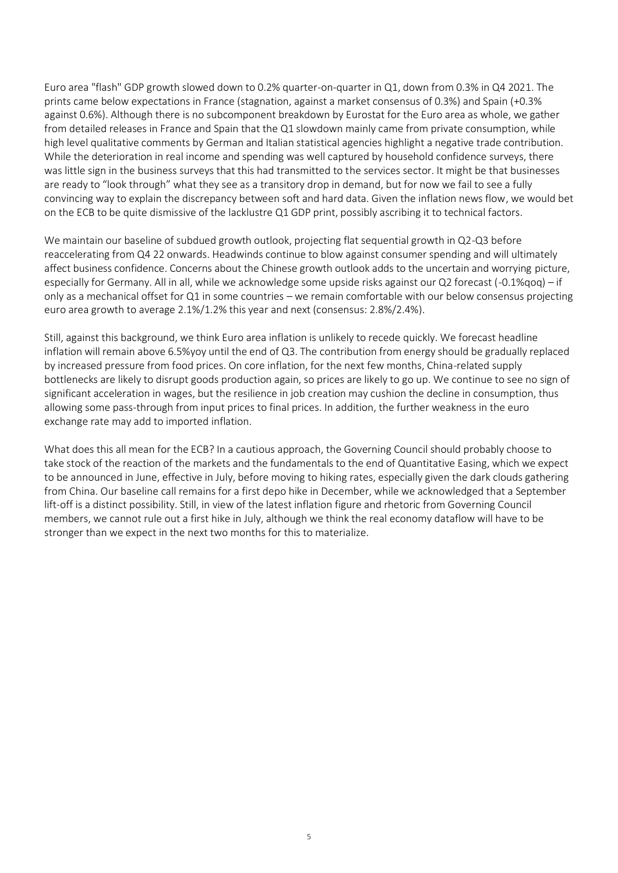Euro area "flash" GDP growth slowed down to 0.2% quarter-on-quarter in Q1, down from 0.3% in Q4 2021. The prints came below expectations in France (stagnation, against a market consensus of 0.3%) and Spain (+0.3% against 0.6%). Although there is no subcomponent breakdown by Eurostat for the Euro area as whole, we gather from detailed releases in France and Spain that the Q1 slowdown mainly came from private consumption, while high level qualitative comments by German and Italian statistical agencies highlight a negative trade contribution. While the deterioration in real income and spending was well captured by household confidence surveys, there was little sign in the business surveys that this had transmitted to the services sector. It might be that businesses are ready to "look through" what they see as a transitory drop in demand, but for now we fail to see a fully convincing way to explain the discrepancy between soft and hard data. Given the inflation news flow, we would bet on the ECB to be quite dismissive of the lacklustre Q1 GDP print, possibly ascribing it to technical factors.

We maintain our baseline of subdued growth outlook, projecting flat sequential growth in Q2-Q3 before reaccelerating from Q4 22 onwards. Headwinds continue to blow against consumer spending and will ultimately affect business confidence. Concerns about the Chinese growth outlook adds to the uncertain and worrying picture, especially for Germany. All in all, while we acknowledge some upside risks against our Q2 forecast (-0.1%qoq) – if only as a mechanical offset for Q1 in some countries – we remain comfortable with our below consensus projecting euro area growth to average 2.1%/1.2% this year and next (consensus: 2.8%/2.4%).

Still, against this background, we think Euro area inflation is unlikely to recede quickly. We forecast headline inflation will remain above 6.5%yoy until the end of Q3. The contribution from energy should be gradually replaced by increased pressure from food prices. On core inflation, for the next few months, China-related supply bottlenecks are likely to disrupt goods production again, so prices are likely to go up. We continue to see no sign of significant acceleration in wages, but the resilience in job creation may cushion the decline in consumption, thus allowing some pass-through from input prices to final prices. In addition, the further weakness in the euro exchange rate may add to imported inflation.

What does this all mean for the ECB? In a cautious approach, the Governing Council should probably choose to take stock of the reaction of the markets and the fundamentals to the end of Quantitative Easing, which we expect to be announced in June, effective in July, before moving to hiking rates, especially given the dark clouds gathering from China. Our baseline call remains for a first depo hike in December, while we acknowledged that a September lift-off is a distinct possibility. Still, in view of the latest inflation figure and rhetoric from Governing Council members, we cannot rule out a first hike in July, although we think the real economy dataflow will have to be stronger than we expect in the next two months for this to materialize.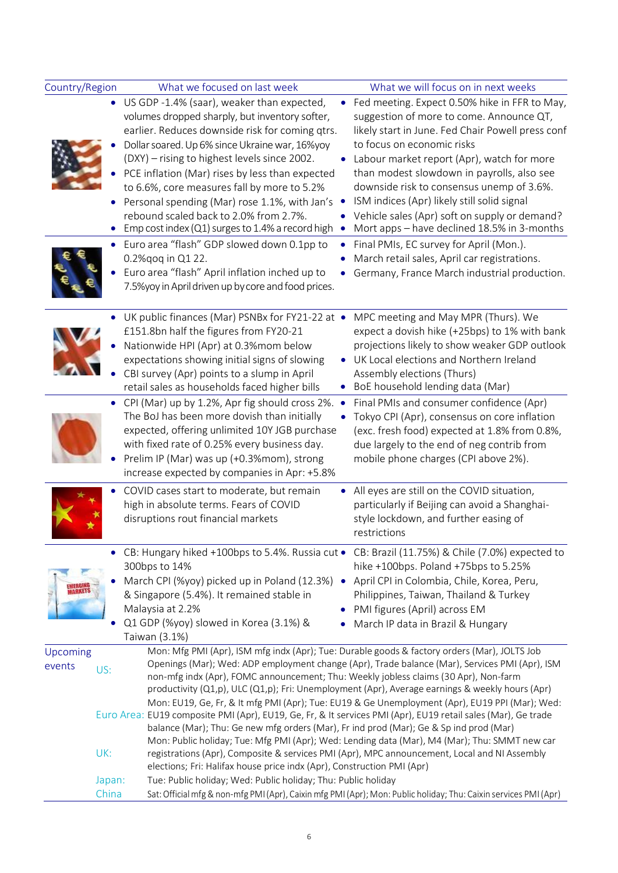| Country/Region     |                 | What we focused on last week                                                                                                                                                                                                                                                                                                                                                                                                                                                                |                | What we will focus on in next weeks                                                                                                                                                                                                                |  |
|--------------------|-----------------|---------------------------------------------------------------------------------------------------------------------------------------------------------------------------------------------------------------------------------------------------------------------------------------------------------------------------------------------------------------------------------------------------------------------------------------------------------------------------------------------|----------------|----------------------------------------------------------------------------------------------------------------------------------------------------------------------------------------------------------------------------------------------------|--|
|                    |                 | • US GDP -1.4% (saar), weaker than expected,<br>volumes dropped sharply, but inventory softer,<br>earlier. Reduces downside risk for coming qtrs.<br>Dollar soared. Up 6% since Ukraine war, 16%yoy<br>(DXY) – rising to highest levels since 2002.                                                                                                                                                                                                                                         | $\bullet$      | Fed meeting. Expect 0.50% hike in FFR to May,<br>suggestion of more to come. Announce QT,<br>likely start in June. Fed Chair Powell press conf<br>to focus on economic risks<br>Labour market report (Apr), watch for more                         |  |
|                    |                 | PCE inflation (Mar) rises by less than expected<br>to 6.6%, core measures fall by more to 5.2%<br>Personal spending (Mar) rose 1.1%, with Jan's<br>rebound scaled back to 2.0% from 2.7%.<br>Emp cost index (Q1) surges to 1.4% a record high                                                                                                                                                                                                                                               |                | than modest slowdown in payrolls, also see<br>downside risk to consensus unemp of 3.6%.<br>ISM indices (Apr) likely still solid signal<br>Vehicle sales (Apr) soft on supply or demand?<br>Mort apps – have declined 18.5% in 3-months             |  |
|                    |                 | • Euro area "flash" GDP slowed down 0.1pp to<br>0.2% qoq in Q1 22.<br>Euro area "flash" April inflation inched up to<br>7.5% yoy in April driven up by core and food prices.                                                                                                                                                                                                                                                                                                                | ۰              | Final PMIs, EC survey for April (Mon.).<br>March retail sales, April car registrations.<br>Germany, France March industrial production.                                                                                                            |  |
|                    |                 | UK public finances (Mar) PSNBx for FY21-22 at •<br>£151.8bn half the figures from FY20-21<br>Nationwide HPI (Apr) at 0.3%mom below<br>expectations showing initial signs of slowing<br>CBI survey (Apr) points to a slump in April<br>retail sales as households faced higher bills                                                                                                                                                                                                         | $\bullet$      | MPC meeting and May MPR (Thurs). We<br>expect a dovish hike (+25bps) to 1% with bank<br>projections likely to show weaker GDP outlook<br>UK Local elections and Northern Ireland<br>Assembly elections (Thurs)<br>BoE household lending data (Mar) |  |
|                    |                 | • CPI (Mar) up by 1.2%, Apr fig should cross 2%.<br>The BoJ has been more dovish than initially<br>expected, offering unlimited 10Y JGB purchase<br>with fixed rate of 0.25% every business day.<br>Prelim IP (Mar) was up (+0.3%mom), strong<br>increase expected by companies in Apr: +5.8%                                                                                                                                                                                               | $\bullet$      | Final PMIs and consumer confidence (Apr)<br>Tokyo CPI (Apr), consensus on core inflation<br>(exc. fresh food) expected at 1.8% from 0.8%,<br>due largely to the end of neg contrib from<br>mobile phone charges (CPI above 2%).                    |  |
|                    |                 | COVID cases start to moderate, but remain<br>high in absolute terms. Fears of COVID<br>disruptions rout financial markets                                                                                                                                                                                                                                                                                                                                                                   | $\bullet$      | All eyes are still on the COVID situation,<br>particularly if Beijing can avoid a Shanghai-<br>style lockdown, and further easing of<br>restrictions                                                                                               |  |
|                    |                 | CB: Hungary hiked +100bps to 5.4%. Russia cut • CB: Brazil (11.75%) & Chile (7.0%) expected to<br>300bps to 14%<br>March CPI (%yoy) picked up in Poland (12.3%)<br>& Singapore (5.4%). It remained stable in<br>Malaysia at 2.2%<br>Q1 GDP (%yoy) slowed in Korea (3.1%) &<br>Taiwan (3.1%)                                                                                                                                                                                                 | $\bullet$<br>٠ | hike +100bps. Poland +75bps to 5.25%<br>April CPI in Colombia, Chile, Korea, Peru,<br>Philippines, Taiwan, Thailand & Turkey<br>PMI figures (April) across EM<br>March IP data in Brazil & Hungary                                                 |  |
| Upcoming<br>events | US:             | Mon: Mfg PMI (Apr), ISM mfg indx (Apr); Tue: Durable goods & factory orders (Mar), JOLTS Job<br>Openings (Mar); Wed: ADP employment change (Apr), Trade balance (Mar), Services PMI (Apr), ISM<br>non-mfg indx (Apr), FOMC announcement; Thu: Weekly jobless claims (30 Apr), Non-farm<br>productivity (Q1,p), ULC (Q1,p); Fri: Unemployment (Apr), Average earnings & weekly hours (Apr)<br>Mon: EU19, Ge, Fr, & It mfg PMI (Apr); Tue: EU19 & Ge Unemployment (Apr), EU19 PPI (Mar); Wed: |                |                                                                                                                                                                                                                                                    |  |
|                    |                 | Euro Area: EU19 composite PMI (Apr), EU19, Ge, Fr, & It services PMI (Apr), EU19 retail sales (Mar), Ge trade<br>balance (Mar); Thu: Ge new mfg orders (Mar), Fr ind prod (Mar); Ge & Sp ind prod (Mar)                                                                                                                                                                                                                                                                                     |                | Mon: Public holiday; Tue: Mfg PMI (Apr); Wed: Lending data (Mar), M4 (Mar); Thu: SMMT new car                                                                                                                                                      |  |
|                    | UK:             | elections; Fri: Halifax house price indx (Apr), Construction PMI (Apr)                                                                                                                                                                                                                                                                                                                                                                                                                      |                | registrations (Apr), Composite & services PMI (Apr), MPC announcement, Local and NI Assembly                                                                                                                                                       |  |
|                    | Japan:<br>China | Tue: Public holiday; Wed: Public holiday; Thu: Public holiday                                                                                                                                                                                                                                                                                                                                                                                                                               |                | Sat: Official mfg & non-mfg PMI (Apr), Caixin mfg PMI (Apr); Mon: Public holiday; Thu: Caixin services PMI (Apr)                                                                                                                                   |  |